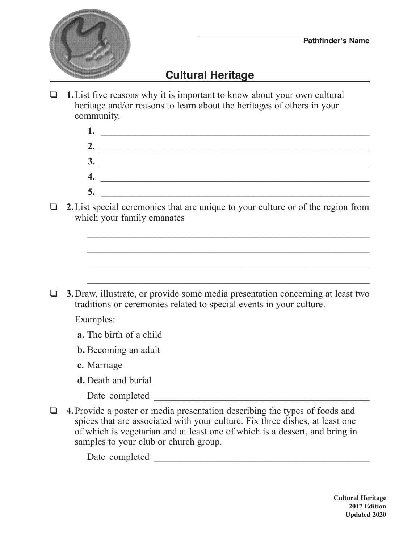

## **Cultural Heritage**

 $\Box$  **1.** List five reasons why it is important to know about your own cultural heritage and/or reasons to learn about the heritages of others in your community.

> **1.** \_\_\_\_\_\_\_\_\_\_\_\_\_\_\_\_\_\_\_\_\_\_\_\_\_\_\_\_\_\_\_\_\_\_\_\_\_\_\_\_\_\_\_\_\_\_\_\_\_\_\_\_\_\_\_\_  **2.** \_\_\_\_\_\_\_\_\_\_\_\_\_\_\_\_\_\_\_\_\_\_\_\_\_\_\_\_\_\_\_\_\_\_\_\_\_\_\_\_\_\_\_\_\_\_\_\_\_\_\_\_\_\_\_\_  **3.** \_\_\_\_\_\_\_\_\_\_\_\_\_\_\_\_\_\_\_\_\_\_\_\_\_\_\_\_\_\_\_\_\_\_\_\_\_\_\_\_\_\_\_\_\_\_\_\_\_\_\_\_\_\_\_  **4.** \_\_\_\_\_\_\_\_\_\_\_\_\_\_\_\_\_\_\_\_\_\_\_\_\_\_\_\_\_\_\_\_\_\_\_\_\_\_\_\_\_\_\_\_\_\_\_\_\_\_\_\_\_\_\_\_  **5.** \_\_\_\_\_\_\_\_\_\_\_\_\_\_\_\_\_\_\_\_\_\_\_\_\_\_\_\_\_\_\_\_\_\_\_\_\_\_\_\_\_\_\_\_\_\_\_\_\_\_\_\_\_\_\_

> $\mathcal{L}_\mathcal{L}$  , and the contribution of the contribution of the contribution of the contribution of the contribution of the contribution of the contribution of the contribution of the contribution of the contribution of

 $\mathcal{L}_\mathcal{L}$  , and the contribution of the contribution of the contribution of the contribution of the contribution of the contribution of the contribution of the contribution of the contribution of the contribution of

 $\mathcal{L}_\mathcal{L}$  , and the contribution of the contribution of the contribution of the contribution of the contribution of the contribution of the contribution of the contribution of the contribution of the contribution of

\_\_\_\_\_\_\_\_\_\_\_\_\_\_\_\_\_\_\_\_\_\_\_\_\_\_\_\_\_\_\_\_\_\_\_\_\_\_\_\_\_\_\_\_\_\_\_\_\_\_\_\_\_\_\_\_\_\_

**2.** List special ceremonies that are unique to your culture or of the region from which your family emanates

**3.** Draw, illustrate, or provide some media presentation concerning at least two traditions or ceremonies related to special events in your culture.

Examples:

- **a.** The birth of a child
- **b.** Becoming an adult
- **c.** Marriage
- **d.** Death and burial
	- Date completed  $\Box$
- **4.** Provide a poster or media presentation describing the types of foods and spices that are associated with your culture. Fix three dishes, at least one of which is vegetarian and at least one of which is a dessert, and bring in samples to your club or church group.

Date completed \_\_\_\_\_\_\_\_\_\_\_\_\_\_\_\_\_\_\_\_\_\_\_\_\_\_\_\_\_\_\_\_\_\_\_\_\_\_\_\_\_\_\_\_\_

**Cultural Heritage 2017 Edition Updated 2020**